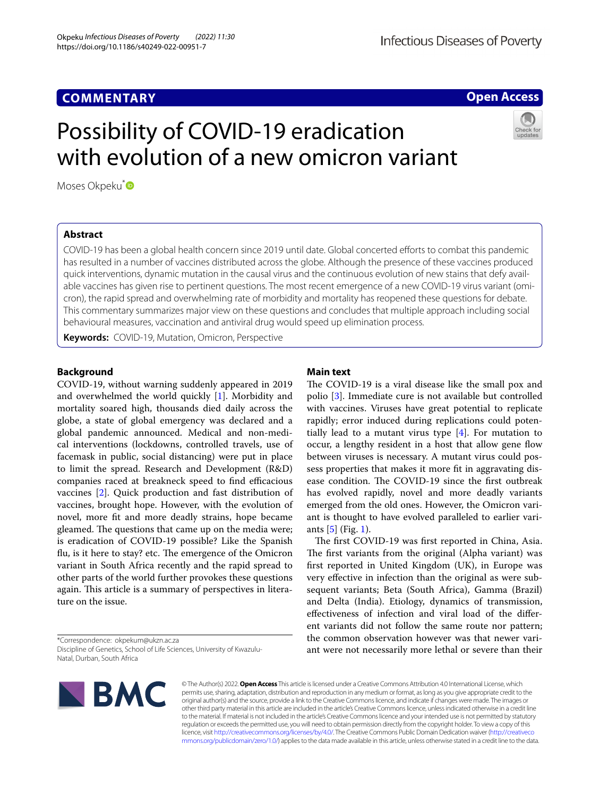# **COMMENTARY**

**Open Access**

# Possibility of COVID-19 eradication with evolution of a new omicron variant

Moses Okpeku<sup>[\\*](http://orcid.org/0000-0002-8337-6294)</sup>

# **Abstract**

COVID-19 has been a global health concern since 2019 until date. Global concerted eforts to combat this pandemic has resulted in a number of vaccines distributed across the globe. Although the presence of these vaccines produced quick interventions, dynamic mutation in the causal virus and the continuous evolution of new stains that defy available vaccines has given rise to pertinent questions. The most recent emergence of a new COVID-19 virus variant (omicron), the rapid spread and overwhelming rate of morbidity and mortality has reopened these questions for debate. This commentary summarizes major view on these questions and concludes that multiple approach including social behavioural measures, vaccination and antiviral drug would speed up elimination process.

**Keywords:** COVID-19, Mutation, Omicron, Perspective

# **Background**

COVID-19, without warning suddenly appeared in 2019 and overwhelmed the world quickly [[1\]](#page-2-3). Morbidity and mortality soared high, thousands died daily across the globe, a state of global emergency was declared and a global pandemic announced. Medical and non-medical interventions (lockdowns, controlled travels, use of facemask in public, social distancing) were put in place to limit the spread. Research and Development (R&D) companies raced at breakneck speed to find efficacious vaccines [\[2](#page-2-4)]. Quick production and fast distribution of vaccines, brought hope. However, with the evolution of novel, more ft and more deadly strains, hope became gleamed. The questions that came up on the media were; is eradication of COVID-19 possible? Like the Spanish flu, is it here to stay? etc. The emergence of the Omicron variant in South Africa recently and the rapid spread to other parts of the world further provokes these questions again. This article is a summary of perspectives in literature on the issue.

\*Correspondence: okpekum@ukzn.ac.za Discipline of Genetics, School of Life Sciences, University of Kwazulu-Natal, Durban, South Africa

# **Main text**

The COVID-19 is a viral disease like the small pox and polio [\[3\]](#page-2-0). Immediate cure is not available but controlled with vaccines. Viruses have great potential to replicate rapidly; error induced during replications could potentially lead to a mutant virus type [[4\]](#page-2-1). For mutation to occur, a lengthy resident in a host that allow gene flow between viruses is necessary. A mutant virus could possess properties that makes it more ft in aggravating disease condition. The COVID-19 since the first outbreak has evolved rapidly, novel and more deadly variants emerged from the old ones. However, the Omicron variant is thought to have evolved paralleled to earlier variants [\[5](#page-2-2)] (Fig. [1\)](#page-1-0).

The first COVID-19 was first reported in China, Asia. The first variants from the original (Alpha variant) was frst reported in United Kingdom (UK), in Europe was very efective in infection than the original as were subsequent variants; Beta (South Africa), Gamma (Brazil) and Delta (India). Etiology, dynamics of transmission, efectiveness of infection and viral load of the diferent variants did not follow the same route nor pattern; the common observation however was that newer variant were not necessarily more lethal or severe than their



© The Author(s) 2022. **Open Access** This article is licensed under a Creative Commons Attribution 4.0 International License, which permits use, sharing, adaptation, distribution and reproduction in any medium or format, as long as you give appropriate credit to the original author(s) and the source, provide a link to the Creative Commons licence, and indicate if changes were made. The images or other third party material in this article are included in the article's Creative Commons licence, unless indicated otherwise in a credit line to the material. If material is not included in the article's Creative Commons licence and your intended use is not permitted by statutory regulation or exceeds the permitted use, you will need to obtain permission directly from the copyright holder. To view a copy of this licence, visit [http://creativecommons.org/licenses/by/4.0/.](http://creativecommons.org/licenses/by/4.0/) The Creative Commons Public Domain Dedication waiver ([http://creativeco](http://creativecommons.org/publicdomain/zero/1.0/) [mmons.org/publicdomain/zero/1.0/](http://creativecommons.org/publicdomain/zero/1.0/)) applies to the data made available in this article, unless otherwise stated in a credit line to the data.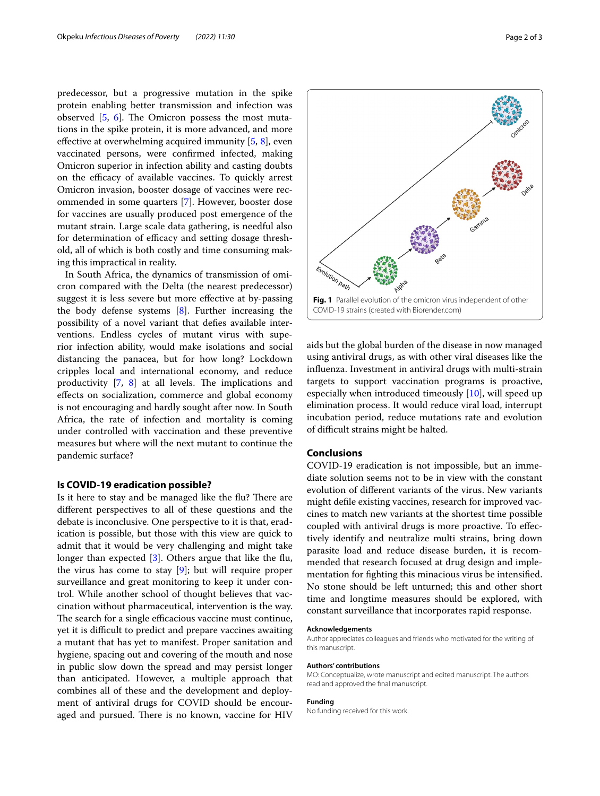predecessor, but a progressive mutation in the spike protein enabling better transmission and infection was observed  $[5, 6]$  $[5, 6]$  $[5, 6]$ . The Omicron possess the most mutations in the spike protein, it is more advanced, and more effective at overwhelming acquired immunity [[5,](#page-2-2) [8](#page-2-6)], even vaccinated persons, were confrmed infected, making Omicron superior in infection ability and casting doubts on the efficacy of available vaccines. To quickly arrest Omicron invasion, booster dosage of vaccines were recommended in some quarters [[7\]](#page-2-7). However, booster dose for vaccines are usually produced post emergence of the mutant strain. Large scale data gathering, is needful also for determination of efficacy and setting dosage threshold, all of which is both costly and time consuming making this impractical in reality.

In South Africa, the dynamics of transmission of omicron compared with the Delta (the nearest predecessor) suggest it is less severe but more efective at by-passing the body defense systems [[8\]](#page-2-6). Further increasing the possibility of a novel variant that defes available interventions. Endless cycles of mutant virus with superior infection ability, would make isolations and social distancing the panacea, but for how long? Lockdown cripples local and international economy, and reduce productivity  $[7, 8]$  $[7, 8]$  $[7, 8]$  at all levels. The implications and efects on socialization, commerce and global economy is not encouraging and hardly sought after now. In South Africa, the rate of infection and mortality is coming under controlled with vaccination and these preventive measures but where will the next mutant to continue the pandemic surface?

## **Is COVID‑19 eradication possible?**

Is it here to stay and be managed like the flu? There are diferent perspectives to all of these questions and the debate is inconclusive. One perspective to it is that, eradication is possible, but those with this view are quick to admit that it would be very challenging and might take longer than expected [[3](#page-2-0)]. Others argue that like the flu, the virus has come to stay [\[9\]](#page-2-8); but will require proper surveillance and great monitoring to keep it under control. While another school of thought believes that vaccination without pharmaceutical, intervention is the way. The search for a single efficacious vaccine must continue, yet it is difficult to predict and prepare vaccines awaiting a mutant that has yet to manifest. Proper sanitation and hygiene, spacing out and covering of the mouth and nose in public slow down the spread and may persist longer than anticipated. However, a multiple approach that combines all of these and the development and deployment of antiviral drugs for COVID should be encouraged and pursued. There is no known, vaccine for HIV



<span id="page-1-0"></span>aids but the global burden of the disease in now managed using antiviral drugs, as with other viral diseases like the infuenza. Investment in antiviral drugs with multi-strain targets to support vaccination programs is proactive, especially when introduced timeously  $[10]$  $[10]$ , will speed up elimination process. It would reduce viral load, interrupt incubation period, reduce mutations rate and evolution of difcult strains might be halted.

## **Conclusions**

COVID-19 eradication is not impossible, but an immediate solution seems not to be in view with the constant evolution of diferent variants of the virus. New variants might defle existing vaccines, research for improved vaccines to match new variants at the shortest time possible coupled with antiviral drugs is more proactive. To efectively identify and neutralize multi strains, bring down parasite load and reduce disease burden, it is recommended that research focused at drug design and implementation for fghting this minacious virus be intensifed. No stone should be left unturned; this and other short time and longtime measures should be explored, with constant surveillance that incorporates rapid response.

#### **Acknowledgements**

Author appreciates colleagues and friends who motivated for the writing of this manuscript.

#### **Authors' contributions**

MO: Conceptualize, wrote manuscript and edited manuscript. The authors read and approved the fnal manuscript.

### **Funding**

No funding received for this work.